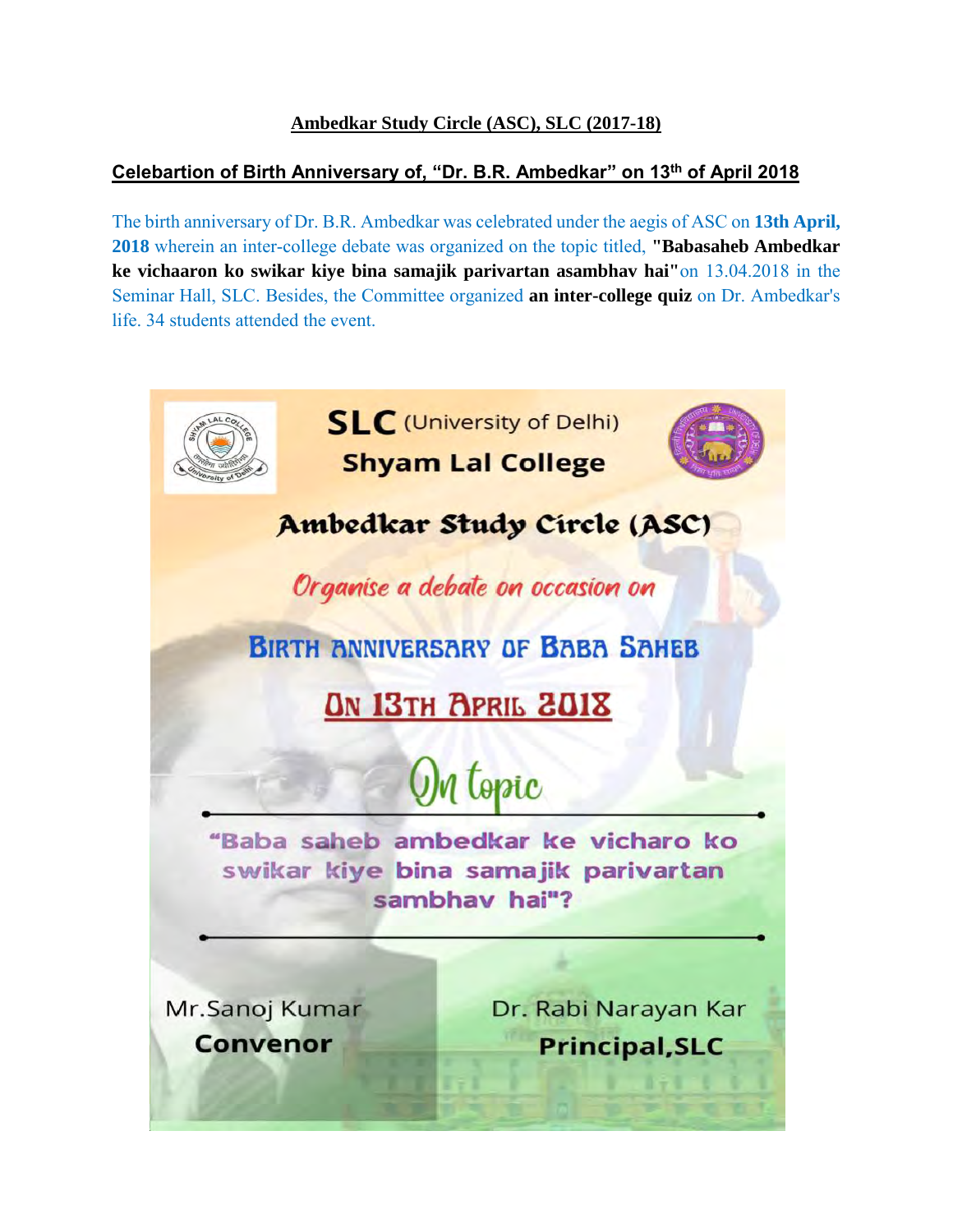## **Ambedkar Study Circle (ASC), SLC (2017-18)**

## **Celebartion of Birth Anniversary of, "Dr. B.R. Ambedkar" on 13th of April 2018**

The birth anniversary of Dr. B.R. Ambedkar was celebrated under the aegis of ASC on **13th April, 2018** wherein an inter-college debate was organized on the topic titled, **"Babasaheb Ambedkar ke vichaaron ko swikar kiye bina samajik parivartan asambhav hai"**on 13.04.2018 in the Seminar Hall, SLC. Besides, the Committee organized **an inter-college quiz** on Dr. Ambedkar's life. 34 students attended the event.